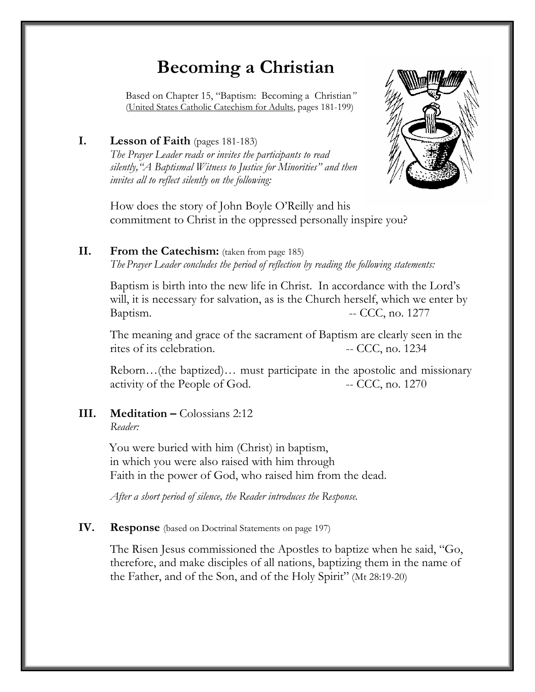# **Becoming a Christian**

 Based on Chapter 15, "Baptism: Becoming a Christian*"* (United States Catholic Catechism for Adults, pages 181-199)

# **I. Lesson of Faith** (pages 181-183)

*The Prayer Leader reads or invites the participants to read silently,"A Baptismal Witness to Justice for Minorities" and then invites all to reflect silently on the following:* 



How does the story of John Boyle O'Reilly and his commitment to Christ in the oppressed personally inspire you?

#### **II. From the Catechism:** (taken from page 185) *The Prayer Leader concludes the period of reflection by reading the following statements:*

Baptism is birth into the new life in Christ. In accordance with the Lord's will, it is necessary for salvation, as is the Church herself, which we enter by Baptism. -- CCC, no. 1277

 The meaning and grace of the sacrament of Baptism are clearly seen in the rites of its celebration. -- CCC, no. 1234

Reborn…(the baptized)… must participate in the apostolic and missionary activity of the People of God. -- CCC, no. 1270

#### **III. Meditation – Colossians 2:12** *Reader:*

You were buried with him (Christ) in baptism, in which you were also raised with him through Faith in the power of God, who raised him from the dead.

*After a short period of silence, the Reader introduces the Response.*

### **IV. Response** (based on Doctrinal Statements on page 197)

The Risen Jesus commissioned the Apostles to baptize when he said, "Go, therefore, and make disciples of all nations, baptizing them in the name of the Father, and of the Son, and of the Holy Spirit" (Mt 28:19-20)